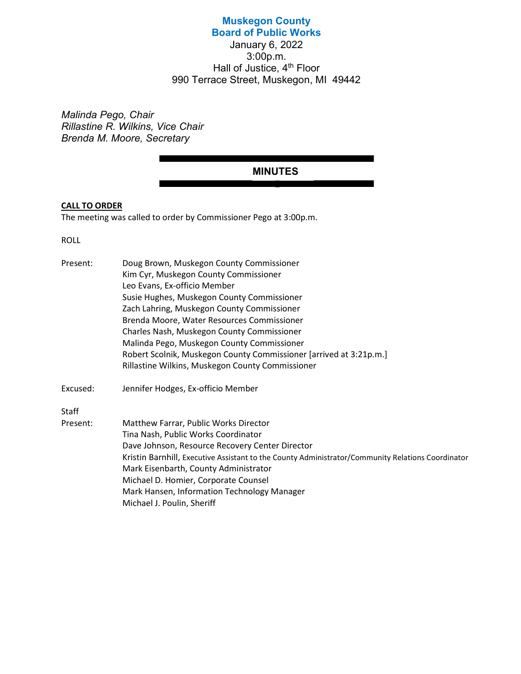# Muskegon County Board of Public Works

January 6, 2022 3:00p.m. Hall of Justice,  $4<sup>th</sup>$  Floor 990 Terrace Street, Muskegon, MI 49442

Malinda Pego, Chair Rillastine R. Wilkins, Vice Chair Brenda M. Moore, Secretary

# MINUTES

# CALL TO ORDER

The meeting was called to order by Commissioner Pego at 3:00p.m.

ROLL

| Present: | Doug Brown, Muskegon County Commissioner                                                          |
|----------|---------------------------------------------------------------------------------------------------|
|          | Kim Cyr, Muskegon County Commissioner                                                             |
|          | Leo Evans, Ex-officio Member                                                                      |
|          | Susie Hughes, Muskegon County Commissioner                                                        |
|          | Zach Lahring, Muskegon County Commissioner                                                        |
|          | Brenda Moore, Water Resources Commissioner                                                        |
|          | Charles Nash, Muskegon County Commissioner                                                        |
|          | Malinda Pego, Muskegon County Commissioner                                                        |
|          | Robert Scolnik, Muskegon County Commissioner [arrived at 3:21p.m.]                                |
|          | Rillastine Wilkins, Muskegon County Commissioner                                                  |
| Excused: | Jennifer Hodges, Ex-officio Member                                                                |
| Staff    |                                                                                                   |
| Present: | Matthew Farrar, Public Works Director                                                             |
|          | Tina Nash, Public Works Coordinator                                                               |
|          | Dave Johnson, Resource Recovery Center Director                                                   |
|          | Kristin Barnhill, Executive Assistant to the County Administrator/Community Relations Coordinator |
|          | Mark Eisenbarth, County Administrator                                                             |
|          | Michael D. Homier, Corporate Counsel                                                              |
|          | Mark Hansen, Information Technology Manager                                                       |
|          | Michael J. Poulin, Sheriff                                                                        |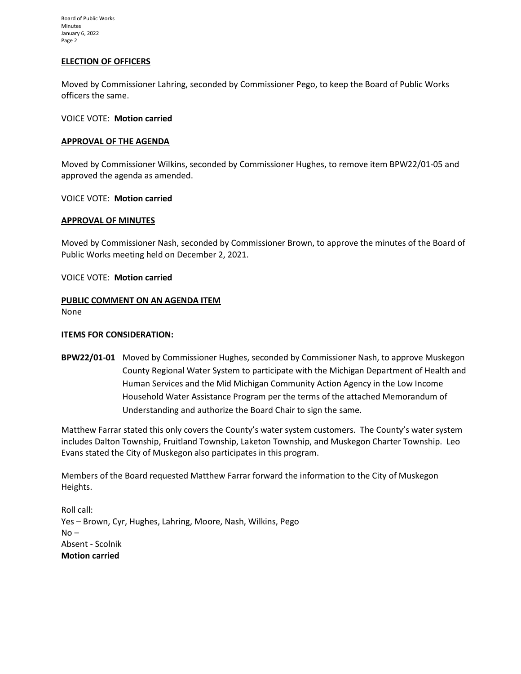Board of Public Works Minutes January 6, 2022 Page 2

## ELECTION OF OFFICERS

Moved by Commissioner Lahring, seconded by Commissioner Pego, to keep the Board of Public Works officers the same.

VOICE VOTE: Motion carried

#### APPROVAL OF THE AGENDA

Moved by Commissioner Wilkins, seconded by Commissioner Hughes, to remove item BPW22/01-05 and approved the agenda as amended.

VOICE VOTE: Motion carried

#### APPROVAL OF MINUTES

Moved by Commissioner Nash, seconded by Commissioner Brown, to approve the minutes of the Board of Public Works meeting held on December 2, 2021.

VOICE VOTE: Motion carried

#### PUBLIC COMMENT ON AN AGENDA ITEM None

#### **ITEMS FOR CONSIDERATION:**

BPW22/01-01 Moved by Commissioner Hughes, seconded by Commissioner Nash, to approve Muskegon County Regional Water System to participate with the Michigan Department of Health and Human Services and the Mid Michigan Community Action Agency in the Low Income Household Water Assistance Program per the terms of the attached Memorandum of Understanding and authorize the Board Chair to sign the same.

Matthew Farrar stated this only covers the County's water system customers. The County's water system includes Dalton Township, Fruitland Township, Laketon Township, and Muskegon Charter Township. Leo Evans stated the City of Muskegon also participates in this program.

Members of the Board requested Matthew Farrar forward the information to the City of Muskegon Heights.

Roll call: Yes – Brown, Cyr, Hughes, Lahring, Moore, Nash, Wilkins, Pego  $No -$ Absent - Scolnik Motion carried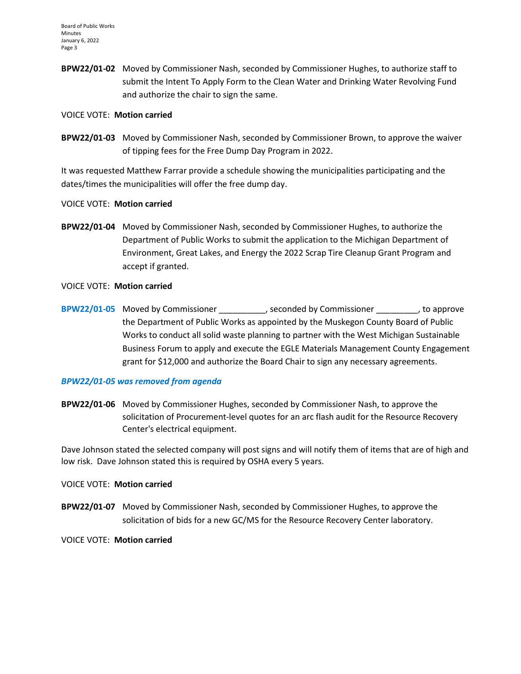BPW22/01-02 Moved by Commissioner Nash, seconded by Commissioner Hughes, to authorize staff to submit the Intent To Apply Form to the Clean Water and Drinking Water Revolving Fund and authorize the chair to sign the same.

### VOICE VOTE: Motion carried

BPW22/01-03 Moved by Commissioner Nash, seconded by Commissioner Brown, to approve the waiver of tipping fees for the Free Dump Day Program in 2022.

It was requested Matthew Farrar provide a schedule showing the municipalities participating and the dates/times the municipalities will offer the free dump day.

### VOICE VOTE: Motion carried

BPW22/01-04 Moved by Commissioner Nash, seconded by Commissioner Hughes, to authorize the Department of Public Works to submit the application to the Michigan Department of Environment, Great Lakes, and Energy the 2022 Scrap Tire Cleanup Grant Program and accept if granted.

### VOICE VOTE: Motion carried

BPW22/01-05 Moved by Commissioner \_\_\_\_\_\_\_\_\_\_, seconded by Commissioner \_\_\_\_\_\_\_\_\_, to approve the Department of Public Works as appointed by the Muskegon County Board of Public Works to conduct all solid waste planning to partner with the West Michigan Sustainable Business Forum to apply and execute the EGLE Materials Management County Engagement grant for \$12,000 and authorize the Board Chair to sign any necessary agreements.

#### BPW22/01-05 was removed from agenda

BPW22/01-06 Moved by Commissioner Hughes, seconded by Commissioner Nash, to approve the solicitation of Procurement-level quotes for an arc flash audit for the Resource Recovery Center's electrical equipment.

Dave Johnson stated the selected company will post signs and will notify them of items that are of high and low risk. Dave Johnson stated this is required by OSHA every 5 years.

# VOICE VOTE: Motion carried

BPW22/01-07 Moved by Commissioner Nash, seconded by Commissioner Hughes, to approve the solicitation of bids for a new GC/MS for the Resource Recovery Center laboratory.

VOICE VOTE: Motion carried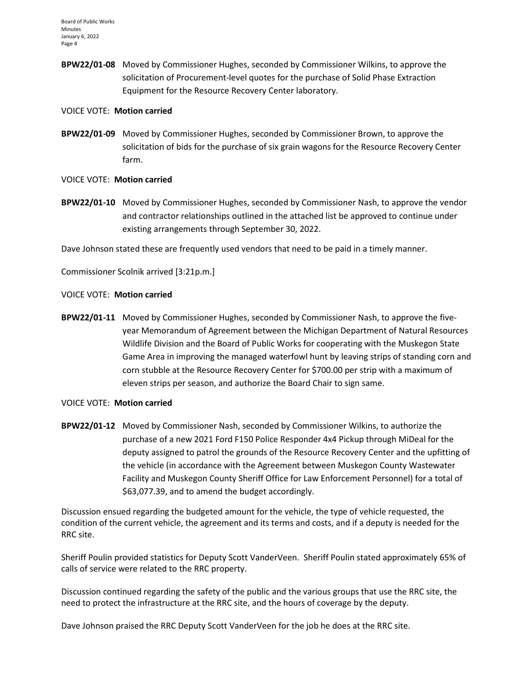BPW22/01-08 Moved by Commissioner Hughes, seconded by Commissioner Wilkins, to approve the solicitation of Procurement-level quotes for the purchase of Solid Phase Extraction Equipment for the Resource Recovery Center laboratory.

### VOICE VOTE: Motion carried

BPW22/01-09 Moved by Commissioner Hughes, seconded by Commissioner Brown, to approve the solicitation of bids for the purchase of six grain wagons for the Resource Recovery Center farm.

# VOICE VOTE: Motion carried

BPW22/01-10 Moved by Commissioner Hughes, seconded by Commissioner Nash, to approve the vendor and contractor relationships outlined in the attached list be approved to continue under existing arrangements through September 30, 2022.

Dave Johnson stated these are frequently used vendors that need to be paid in a timely manner.

Commissioner Scolnik arrived [3:21p.m.]

### VOICE VOTE: Motion carried

BPW22/01-11 Moved by Commissioner Hughes, seconded by Commissioner Nash, to approve the fiveyear Memorandum of Agreement between the Michigan Department of Natural Resources Wildlife Division and the Board of Public Works for cooperating with the Muskegon State Game Area in improving the managed waterfowl hunt by leaving strips of standing corn and corn stubble at the Resource Recovery Center for \$700.00 per strip with a maximum of eleven strips per season, and authorize the Board Chair to sign same.

# VOICE VOTE: Motion carried

BPW22/01-12 Moved by Commissioner Nash, seconded by Commissioner Wilkins, to authorize the purchase of a new 2021 Ford F150 Police Responder 4x4 Pickup through MiDeal for the deputy assigned to patrol the grounds of the Resource Recovery Center and the upfitting of the vehicle (in accordance with the Agreement between Muskegon County Wastewater Facility and Muskegon County Sheriff Office for Law Enforcement Personnel) for a total of \$63,077.39, and to amend the budget accordingly.

Discussion ensued regarding the budgeted amount for the vehicle, the type of vehicle requested, the condition of the current vehicle, the agreement and its terms and costs, and if a deputy is needed for the RRC site.

Sheriff Poulin provided statistics for Deputy Scott VanderVeen. Sheriff Poulin stated approximately 65% of calls of service were related to the RRC property.

Discussion continued regarding the safety of the public and the various groups that use the RRC site, the need to protect the infrastructure at the RRC site, and the hours of coverage by the deputy.

Dave Johnson praised the RRC Deputy Scott VanderVeen for the job he does at the RRC site.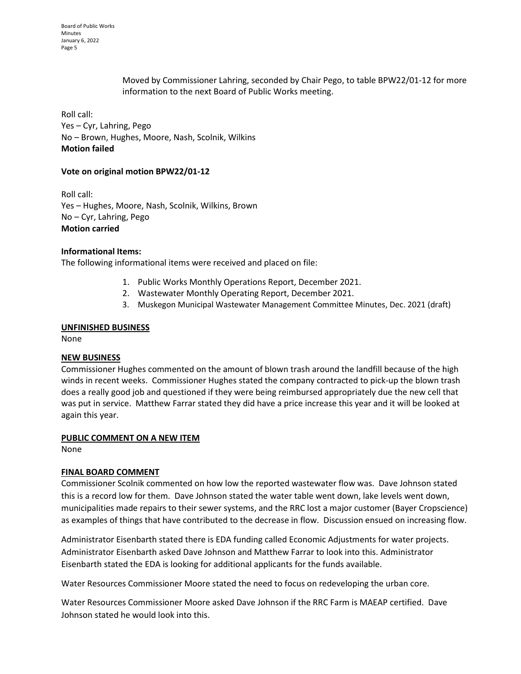Moved by Commissioner Lahring, seconded by Chair Pego, to table BPW22/01-12 for more information to the next Board of Public Works meeting.

Roll call: Yes – Cyr, Lahring, Pego No – Brown, Hughes, Moore, Nash, Scolnik, Wilkins Motion failed

# Vote on original motion BPW22/01-12

Roll call: Yes – Hughes, Moore, Nash, Scolnik, Wilkins, Brown No – Cyr, Lahring, Pego Motion carried

#### Informational Items:

The following informational items were received and placed on file:

- 1. Public Works Monthly Operations Report, December 2021.
- 2. Wastewater Monthly Operating Report, December 2021.
- 3. Muskegon Municipal Wastewater Management Committee Minutes, Dec. 2021 (draft)

#### UNFINISHED BUSINESS

None

#### NEW BUSINESS

Commissioner Hughes commented on the amount of blown trash around the landfill because of the high winds in recent weeks. Commissioner Hughes stated the company contracted to pick-up the blown trash does a really good job and questioned if they were being reimbursed appropriately due the new cell that was put in service. Matthew Farrar stated they did have a price increase this year and it will be looked at again this year.

#### PUBLIC COMMENT ON A NEW ITEM

None

# FINAL BOARD COMMENT

Commissioner Scolnik commented on how low the reported wastewater flow was. Dave Johnson stated this is a record low for them. Dave Johnson stated the water table went down, lake levels went down, municipalities made repairs to their sewer systems, and the RRC lost a major customer (Bayer Cropscience) as examples of things that have contributed to the decrease in flow. Discussion ensued on increasing flow.

Administrator Eisenbarth stated there is EDA funding called Economic Adjustments for water projects. Administrator Eisenbarth asked Dave Johnson and Matthew Farrar to look into this. Administrator Eisenbarth stated the EDA is looking for additional applicants for the funds available.

Water Resources Commissioner Moore stated the need to focus on redeveloping the urban core.

Water Resources Commissioner Moore asked Dave Johnson if the RRC Farm is MAEAP certified. Dave Johnson stated he would look into this.